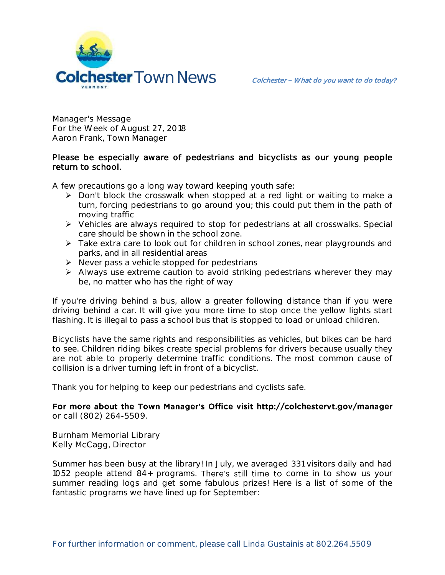

**Manager's Message For the Week of August 27, 2018 Aaron Frank, Town Manager**

## Please be especially aware of pedestrians and bicyclists as our young people return to school.

A few precautions go a long way toward keeping youth safe:

- Don't block the crosswalk when stopped at a red light or waiting to make a turn, forcing pedestrians to go around you; this could put them in the path of moving traffic
- Vehicles are always required to stop for pedestrians at all crosswalks. Special care should be shown in the school zone.
- Take extra care to look out for children in school zones, near playgrounds and parks, and in all residential areas
- $\triangleright$  Never pass a vehicle stopped for pedestrians
- Always use extreme caution to avoid striking pedestrians wherever they may be, no matter who has the right of way

If you're driving behind a bus, allow a greater following distance than if you were driving behind a car. It will give you more time to stop once the yellow lights start flashing. It is illegal to pass a school bus that is stopped to load or unload children.

Bicyclists have the same rights and responsibilities as vehicles, but bikes can be hard to see. Children riding bikes create special problems for drivers because usually they are not able to properly determine traffic conditions. The most common cause of collision is a driver turning left in front of a bicyclist.

Thank you for helping to keep our pedestrians and cyclists safe.

For more about the Town Manager's Office visit http://colchestervt.gov/manager **or call (802) 264-5509.**

**Burnham Memorial Library Kelly McCagg, Director**

Summer has been busy at the library! In July, we averaged 331 visitors daily and had 1052 people attend 84+ programs. There's still time to come in to show us your summer reading logs and get some fabulous prizes! Here is a list of some of the fantastic programs we have lined up for September: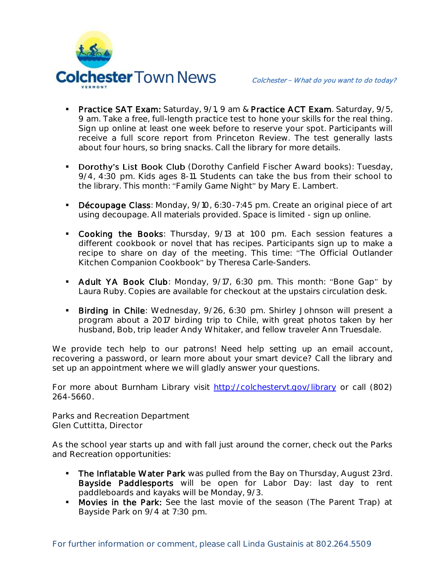

- **Practice SAT Exam:** Saturday, 9/1, 9 am & Practice ACT Exam. Saturday, 9/5, 9 am. Take a free, full-length practice test to hone your skills for the real thing. Sign up online at least one week before to reserve your spot. Participants will receive a full score report from Princeton Review. The test generally lasts about four hours, so bring snacks. Call the library for more details.
- **Dorothy's List Book Club** (Dorothy Canfield Fischer Award books): Tuesday, 9/4, 4:30 pm. Kids ages 8-11. Students can take the bus from their school to the library. This month: "Family Game Night" by Mary E. Lambert.
- Découpage Class: Monday, 9/10, 6:30-7:45 pm. Create an original piece of art using decoupage. All materials provided. Space is limited - sign up online.
- **Cooking the Books**: Thursday, 9/13 at 1:00 pm. Each session features a different cookbook or novel that has recipes. Participants sign up to make a recipe to share on day of the meeting. This time: "The Official Outlander Kitchen Companion Cookbook" by Theresa Carle-Sanders.
- Adult YA Book Club: Monday, 9/17, 6:30 pm. This month: "Bone Gap" by Laura Ruby. Copies are available for checkout at the upstairs circulation desk.
- **Birding in Chile:** Wednesday, 9/26, 6:30 pm. Shirley Johnson will present a program about a 2017 birding trip to Chile, with great photos taken by her husband, Bob, trip leader Andy Whitaker, and fellow traveler Ann Truesdale.

We provide tech help to our patrons! Need help setting up an email account, recovering a password, or learn more about your smart device? Call the library and set up an appointment where we will gladly answer your questions.

For more about Burnham Library visit<http://colchestervt.gov/library> or call (802) 264-5660.

**Parks and Recreation Department Glen Cuttitta, Director**

As the school year starts up and with fall just around the corner, check out the Parks and Recreation opportunities:

- The Inflatable Water Park was pulled from the Bay on Thursday, August 23rd. Bayside Paddlesports will be open for Labor Day: last day to rent paddleboards and kayaks will be Monday, 9/3.
- **Movies in the Park:** See the last movie of the season (The Parent Trap) at Bayside Park on 9/4 at 7:30 pm.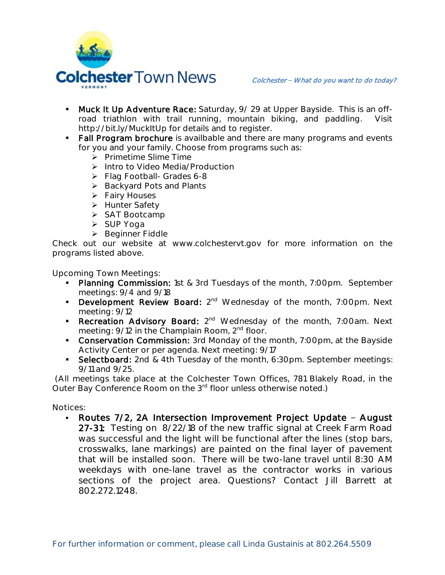

- **Muck It Up Adventure Race:** Saturday, 9/ 29 at Upper Bayside. This is an offroad triathlon with trail running, mountain biking, and paddling. Visit http://bit.ly/MuckItUp for details and to register.
- Fall Program brochure is availbable and there are many programs and events for you and your family. Choose from programs such as:
	- > Primetime Slime Time
	- > Intro to Video Media/Production
	- $\triangleright$  Flag Football- Grades 6-8
	- $\triangleright$  Backyard Pots and Plants
	- **▶** Fairy Houses
	- > Hunter Safety
	- > SAT Bootcamp
	- > SUP Yoga
	- **Beginner Fiddle**

Check out our website at www.colchestervt.gov for more information on the programs listed above.

**Upcoming Town Meetings:** 

- Planning Commission: 1st & 3rd Tuesdays of the month, 7:00pm. September meetings: 9/4 and 9/18
- Development Review Board: 2<sup>nd</sup> Wednesday of the month, 7:00pm. Next meeting: 9/12
- Recreation Advisory Board: 2<sup>nd</sup> Wednesday of the month, 7:00am. Next meeting: 9/12 in the Champlain Room, 2<sup>nd</sup> floor.
- **Conservation Commission:** 3rd Monday of the month, 7:00pm, at the Bayside Activity Center or per agenda. Next meeting: 9/17
- Selectboard: 2nd & 4th Tuesday of the month, 6:30pm. September meetings: 9/11 and 9/25.

(All meetings take place at the Colchester Town Offices, 781 Blakely Road, in the Outer Bay Conference Room on the 3<sup>rd</sup> floor unless otherwise noted.)

**Notices:**

Routes 7/2, 2A Intersection Improvement Project Update - August 27-31: Testing on 8/22/18 of the new traffic signal at Creek Farm Road was successful and the light will be functional after the lines (stop bars, crosswalks, lane markings) are painted on the final layer of pavement that will be installed soon. There will be two-lane travel until 8:30 AM weekdays with one-lane travel as the contractor works in various sections of the project area. Questions? Contact Jill Barrett at 802.272.1248.